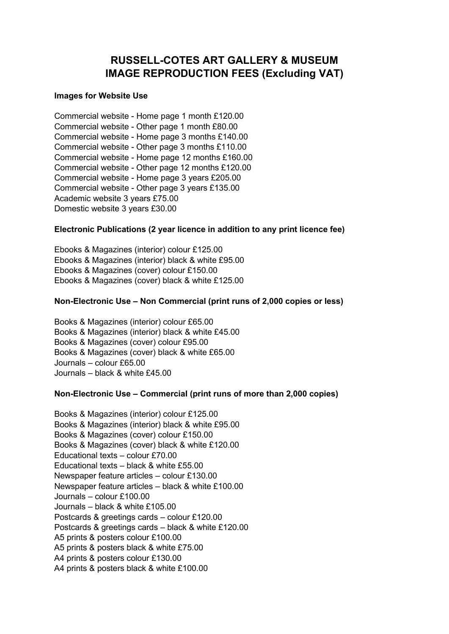# **RUSSELL-COTES ART GALLERY & MUSEUM IMAGE REPRODUCTION FEES (Excluding VAT)**

#### **Images for Website Use**

Commercial website - Home page 1 month £120.00 Commercial website - Other page 1 month £80.00 Commercial website - Home page 3 months £140.00 Commercial website - Other page 3 months £110.00 Commercial website - Home page 12 months £160.00 Commercial website - Other page 12 months £120.00 Commercial website - Home page 3 years £205.00 Commercial website - Other page 3 years £135.00 Academic website 3 years £75.00 Domestic website 3 years £30.00

### **Electronic Publications (2 year licence in addition to any print licence fee)**

Ebooks & Magazines (interior) colour £125.00 Ebooks & Magazines (interior) black & white £95.00 Ebooks & Magazines (cover) colour £150.00 Ebooks & Magazines (cover) black & white £125.00

### **Non-Electronic Use – Non Commercial (print runs of 2,000 copies or less)**

Books & Magazines (interior) colour £65.00 Books & Magazines (interior) black & white £45.00 Books & Magazines (cover) colour £95.00 Books & Magazines (cover) black & white £65.00 Journals – colour £65.00 Journals – black & white £45.00

### **Non-Electronic Use – Commercial (print runs of more than 2,000 copies)**

Books & Magazines (interior) colour £125.00 Books & Magazines (interior) black & white £95.00 Books & Magazines (cover) colour £150.00 Books & Magazines (cover) black & white £120.00 Educational texts – colour £70.00 Educational texts – black & white £55.00 Newspaper feature articles – colour £130.00 Newspaper feature articles – black & white £100.00 Journals – colour £100.00 Journals – black & white £105.00 Postcards & greetings cards – colour £120.00 Postcards & greetings cards – black & white £120.00 A5 prints & posters colour £100.00 A5 prints & posters black & white £75.00 A4 prints & posters colour £130.00 A4 prints & posters black & white £100.00